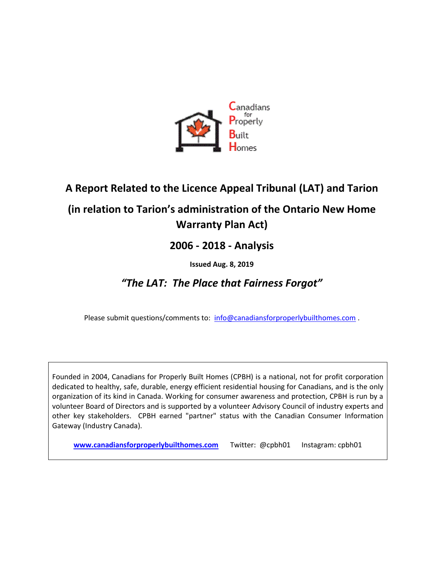

# **A Report Related to the Licence Appeal Tribunal (LAT) and Tarion**

# **(in relation to Tarion's administration of the Ontario New Home Warranty Plan Act)**

## **2006 - 2018 - Analysis**

### **Issued Aug. 8, 2019**

## *"The LAT: The Place that Fairness Forgot"*

Please submit questions/comments to: [info@canadiansforproperlybuilthomes.com](mailto:info@canadiansforproperlybuilthomes.com).

Founded in 2004, Canadians for Properly Built Homes (CPBH) is a national, not for profit corporation dedicated to healthy, safe, durable, energy efficient residential housing for Canadians, and is the only organization of its kind in Canada. Working for consumer awareness and protection, CPBH is run by a volunteer Board of Directors and is supported by a volunteer Advisory Council of industry experts and other key stakeholders. CPBH earned "partner" status with the Canadian Consumer Information Gateway (Industry Canada).

**[www.canadiansforproperlybuilthomes.com](http://www.canadiansforproperlybuilthomes.com/)** Twitter: @cpbh01 Instagram: cpbh01